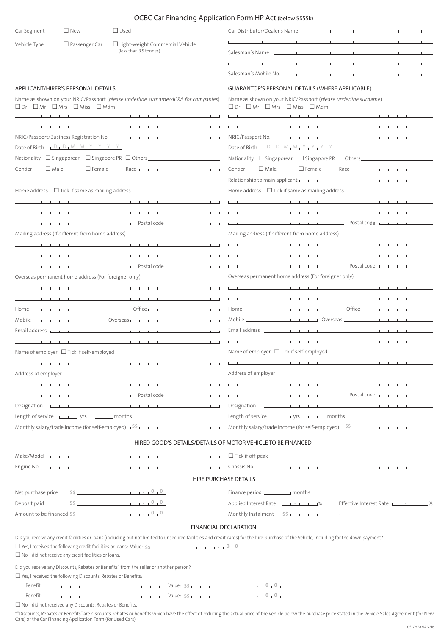|                                                                                            |                                                                         |                                                                                                                                                                                                                                      | OCBC Car Financing Application Form HP Act (below S\$55k)                                                                                                                                                                                                                                                                                                   |
|--------------------------------------------------------------------------------------------|-------------------------------------------------------------------------|--------------------------------------------------------------------------------------------------------------------------------------------------------------------------------------------------------------------------------------|-------------------------------------------------------------------------------------------------------------------------------------------------------------------------------------------------------------------------------------------------------------------------------------------------------------------------------------------------------------|
| Car Segment                                                                                | $\Box$ New                                                              | $\Box$ Used                                                                                                                                                                                                                          | Car Distributor/Dealer's Name<br>the contract of the contract of the contract of the contract of the contract of                                                                                                                                                                                                                                            |
| Vehicle Type                                                                               | $\Box$ Passenger Car                                                    | $\Box$ Light-weight Commercial Vehicle                                                                                                                                                                                               |                                                                                                                                                                                                                                                                                                                                                             |
|                                                                                            |                                                                         | (less than 3.5 tonnes)                                                                                                                                                                                                               | Salesman's Name                                                                                                                                                                                                                                                                                                                                             |
|                                                                                            |                                                                         |                                                                                                                                                                                                                                      |                                                                                                                                                                                                                                                                                                                                                             |
|                                                                                            |                                                                         |                                                                                                                                                                                                                                      | Salesman's Mobile No.                                                                                                                                                                                                                                                                                                                                       |
| APPLICANT/HIRER'S PERSONAL DETAILS                                                         |                                                                         |                                                                                                                                                                                                                                      | GUARANTOR'S PERSONAL DETAILS (WHERE APPLICABLE)                                                                                                                                                                                                                                                                                                             |
| Name as shown on your NRIC/Passport (please underline surname/ACRA for companies)          |                                                                         |                                                                                                                                                                                                                                      | Name as shown on your NRIC/Passport (please underline surname)                                                                                                                                                                                                                                                                                              |
|                                                                                            | $\square$ Dr $\square$ Mr $\square$ Mrs $\square$ Miss $\square$ Mdm    |                                                                                                                                                                                                                                      | $\Box$ Dr $\Box$ Mr $\Box$ Mrs $\Box$ Miss $\Box$ Mdm                                                                                                                                                                                                                                                                                                       |
|                                                                                            |                                                                         |                                                                                                                                                                                                                                      | <u> 1989 - Johann Johann Johann Johann Johann Johann Johann Johann Johann Johann Johann Johann Johann Johann Johann Johann Johann Johann Johann Johann Johann Johann Johann Johann Johann Johann Johann Johann Johann Johann Joh</u>                                                                                                                        |
|                                                                                            |                                                                         |                                                                                                                                                                                                                                      |                                                                                                                                                                                                                                                                                                                                                             |
| NRIC/Passport/Business Registration No.<br>Date of Birth $D_1 D_1 M_1 M_1 Y_1 Y_1 Y_1 Y_2$ |                                                                         |                                                                                                                                                                                                                                      | Date of Birth $D_1 D_1 M_1 M_2 Y_1 Y_1 Y_2 Y_2$                                                                                                                                                                                                                                                                                                             |
| Nationality □ Singaporean □ Singapore PR □ Others ______________________________           |                                                                         |                                                                                                                                                                                                                                      |                                                                                                                                                                                                                                                                                                                                                             |
| $\Box$ Female<br>Gender<br>$\Box$ Male<br>Race <u>is a set of the set of the set of</u>    |                                                                         |                                                                                                                                                                                                                                      | Nationality $\Box$ Singaporean $\Box$ Singapore PR $\Box$ Others<br>$\Box$ Female<br>Gender                                                                                                                                                                                                                                                                 |
|                                                                                            |                                                                         |                                                                                                                                                                                                                                      | Race $\frac{1}{2}$<br>$\Box$ Male                                                                                                                                                                                                                                                                                                                           |
|                                                                                            |                                                                         |                                                                                                                                                                                                                                      | Relationship to main applicant <u>the product of the product of the product</u> and the product of the Relationship to                                                                                                                                                                                                                                      |
| Home address $\Box$ Tick if same as mailing address                                        |                                                                         |                                                                                                                                                                                                                                      | Home address $\Box$ Tick if same as mailing address                                                                                                                                                                                                                                                                                                         |
|                                                                                            |                                                                         |                                                                                                                                                                                                                                      | the contract of the contract of the contract of the contract of the contract of the contract of                                                                                                                                                                                                                                                             |
| the contract of the contract and the con-                                                  |                                                                         |                                                                                                                                                                                                                                      | .                                                                                                                                                                                                                                                                                                                                                           |
| Postal code                                                                                |                                                                         |                                                                                                                                                                                                                                      | <u> Postal code</u> <u>de la contrada de la contrada de la contrada de la contrada de la contrada de la contrada de la con</u>                                                                                                                                                                                                                              |
| Mailing address (If different from home address)                                           |                                                                         |                                                                                                                                                                                                                                      | Mailing address (If different from home address)                                                                                                                                                                                                                                                                                                            |
|                                                                                            |                                                                         |                                                                                                                                                                                                                                      |                                                                                                                                                                                                                                                                                                                                                             |
|                                                                                            |                                                                         |                                                                                                                                                                                                                                      |                                                                                                                                                                                                                                                                                                                                                             |
|                                                                                            |                                                                         |                                                                                                                                                                                                                                      | <u> 2003 - 1904 - 1905 - 1906 - 1907 - 1908 - 1918 - 1918 - 1918 - 1918 - 1918 - 1918 - 1918 - 1918 - 1918 - 191</u>                                                                                                                                                                                                                                        |
| Overseas permanent home address (For foreigner only)                                       |                                                                         |                                                                                                                                                                                                                                      | Overseas permanent home address (For foreigner only)                                                                                                                                                                                                                                                                                                        |
|                                                                                            |                                                                         |                                                                                                                                                                                                                                      |                                                                                                                                                                                                                                                                                                                                                             |
|                                                                                            |                                                                         |                                                                                                                                                                                                                                      | contract the contract of the contract of the<br>The contract of the contract of the con-<br>$\blacksquare$                                                                                                                                                                                                                                                  |
|                                                                                            |                                                                         |                                                                                                                                                                                                                                      | Office                                                                                                                                                                                                                                                                                                                                                      |
| Mobile $\qquad \qquad$<br><u> 1 1 1 1 1 1 1 0verseas - 1 1 1 1 1 1 1 1</u>                 |                                                                         |                                                                                                                                                                                                                                      |                                                                                                                                                                                                                                                                                                                                                             |
|                                                                                            |                                                                         |                                                                                                                                                                                                                                      | Email address <u>that is a constructed by the construction</u> of the construction of the construction of the construction of the construction of the construction of the construction of the construction of the construction of t                                                                                                                         |
|                                                                                            |                                                                         |                                                                                                                                                                                                                                      | the contract of the contract of the contract of the con-                                                                                                                                                                                                                                                                                                    |
| Name of employer $\Box$ Tick if self-employed                                              |                                                                         |                                                                                                                                                                                                                                      | Name of employer $\Box$ Tick if self-employed                                                                                                                                                                                                                                                                                                               |
|                                                                                            |                                                                         |                                                                                                                                                                                                                                      |                                                                                                                                                                                                                                                                                                                                                             |
| Address of employer                                                                        |                                                                         |                                                                                                                                                                                                                                      | Address of employer                                                                                                                                                                                                                                                                                                                                         |
|                                                                                            |                                                                         |                                                                                                                                                                                                                                      |                                                                                                                                                                                                                                                                                                                                                             |
|                                                                                            |                                                                         |                                                                                                                                                                                                                                      |                                                                                                                                                                                                                                                                                                                                                             |
|                                                                                            |                                                                         | Designation <u>in the contract of the contract of the contract of the contract of the contract of the contract of the contract of the contract of the contract of the contract of the contract of the contract of the contract o</u> | Designation $\Box$                                                                                                                                                                                                                                                                                                                                          |
| Length of service <u>Landel</u> yrs <b>Length of service</b>                               |                                                                         |                                                                                                                                                                                                                                      | Length of service <u>____</u> _________ yrs ____________ months                                                                                                                                                                                                                                                                                             |
|                                                                                            |                                                                         | Monthly salary/trade income (for self-employed) $55 - 1 + 1 + 1 + 1 + 1$                                                                                                                                                             | Monthly salary/trade income (for self-employed) $55 - 1 + 1 + 1 + 1 + 1 + 1$                                                                                                                                                                                                                                                                                |
|                                                                                            |                                                                         |                                                                                                                                                                                                                                      | HIRED GOOD'S DETAILS/DETAILS OF MOTOR VEHICLE TO BE FINANCED                                                                                                                                                                                                                                                                                                |
| Make/Model                                                                                 |                                                                         | <u> 1989 - Johann Johann Johann Johann Johann Johann Johann Johann Johann Johann Johann Johann Johann Johann Johann Johann Johann Johann Johann Johann Johann Johann Johann Johann Johann Johann Johann Johann Johann Johann Joh</u> | $\Box$ Tick if off-peak                                                                                                                                                                                                                                                                                                                                     |
| Engine No.                                                                                 |                                                                         |                                                                                                                                                                                                                                      | Chassis No.<br>$\label{eq:3.1} A_1 = A_1 + A_2 + A_3 + A_4 + A_5 + A_6 + A_7 + A_8 + A_9 + A_1 + A_2 + A_3 + A_4 + A_5 + A_6 + A_7 + A_8 + A_9 + A_1 + A_2 + A_3 + A_4 + A_5 + A_6 + A_7 + A_8 + A_9 + A_1 + A_2 + A_3 + A_4 + A_5 + A_6 + A_7 + A_8 + A_9 + A_9 + A_1 + A_2 + A_3 + A_4 + A_5 + A_6 + A_7 + A_8 + A_9 + A_9 + A_1 + A_2 + A_3 + A_4 + A_5$ |
|                                                                                            |                                                                         |                                                                                                                                                                                                                                      | HIRE PURCHASE DETAILS                                                                                                                                                                                                                                                                                                                                       |
| Net purchase price                                                                         |                                                                         | $55 - 1 - 1 - 1 - 1 - 1 - 1 - 1 - 0$                                                                                                                                                                                                 | Finance period <u>______</u> months                                                                                                                                                                                                                                                                                                                         |
| $S\$<br>Deposit paid                                                                       |                                                                         |                                                                                                                                                                                                                                      | Applied Interest Rate<br>Effective Interest Rate                                                                                                                                                                                                                                                                                                            |
|                                                                                            |                                                                         |                                                                                                                                                                                                                                      | Monthly Instalment $55$ <u>____________________</u>                                                                                                                                                                                                                                                                                                         |
|                                                                                            |                                                                         |                                                                                                                                                                                                                                      |                                                                                                                                                                                                                                                                                                                                                             |
|                                                                                            |                                                                         |                                                                                                                                                                                                                                      | <b>FINANCIAL DECLARATION</b><br>Did you receive any credit facilities or loans (including but not limited to unsecured facilities and credit cards) for the hire-purchase of the Vehicle, including for the down payment?                                                                                                                                   |
|                                                                                            | $\Box$ No, I did not receive any credit facilities or loans.            |                                                                                                                                                                                                                                      |                                                                                                                                                                                                                                                                                                                                                             |
|                                                                                            |                                                                         | Did you receive any Discounts, Rebates or Benefits* from the seller or another person?                                                                                                                                               |                                                                                                                                                                                                                                                                                                                                                             |
|                                                                                            | $\square$ Yes, I received the following Discounts, Rebates or Benefits: |                                                                                                                                                                                                                                      |                                                                                                                                                                                                                                                                                                                                                             |
|                                                                                            |                                                                         |                                                                                                                                                                                                                                      | Value: $s s$ $1$ $1$ $1$ $1$ $1$ $1$ $1$ $1$ $1$ $0$ $1$ $0$                                                                                                                                                                                                                                                                                                |
|                                                                                            | $\Box$ No, I did not received any Discounts, Rebates or Benefits.       |                                                                                                                                                                                                                                      | Value: $S\$ $\qquad \qquad$ $\qquad$ $\qquad$ $\qquad$ $\qquad$ $\qquad$ $\qquad$ $\qquad$ $\qquad$ $\qquad$ $\qquad$ $\qquad$ $\qquad$ $\qquad$ $\qquad$ $\qquad$ $\qquad$ $\qquad$ $\qquad$ $\qquad$ $\qquad$ $\qquad$ $\qquad$ $\qquad$ $\qquad$ $\qquad$ $\qquad$ $\qquad$ $\qquad$ $\qquad$ $\qquad$ $\qquad$ $\qquad$ $\qquad$ $\$                    |

\*"Discounts, Rebates or Benefits" are discounts, rebates or benefits which have the effect of reducing the actual price of the Vehicle below the purchase price stated in the Vehicle Sales Agreement (for New<br>Cars) or the Ca